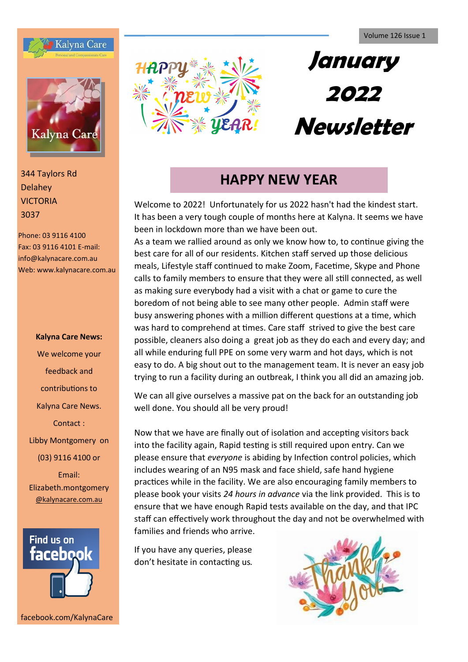



Delahey VICTORIA 3037

Phone: 03 9116 4100 Fax: 03 9116 4101 E-mail: info@kalynacare.com.au Web: www.kalynacare.com.au

> **Kalyna Care News:** We welcome your feedback and contributions to Kalyna Care News. Contact : Libby Montgomery on (03) 9116 4100 or

> Email: Elizabeth.montgomery [@kalynacare.com.au](mailto:leannel@kalynacare.com.au)



facebook.com/KalynaCare



# **January 2022 Newsletter**

# **HAPPY NEW YEAR**

Welcome to 2022! Unfortunately for us 2022 hasn't had the kindest start. It has been a very tough couple of months here at Kalyna. It seems we have been in lockdown more than we have been out.

As a team we rallied around as only we know how to, to continue giving the best care for all of our residents. Kitchen staff served up those delicious meals, Lifestyle staff continued to make Zoom, Facetime, Skype and Phone calls to family members to ensure that they were all still connected, as well as making sure everybody had a visit with a chat or game to cure the boredom of not being able to see many other people. Admin staff were busy answering phones with a million different questions at a time, which was hard to comprehend at times. Care staff strived to give the best care possible, cleaners also doing a great job as they do each and every day; and all while enduring full PPE on some very warm and hot days, which is not easy to do. A big shout out to the management team. It is never an easy job trying to run a facility during an outbreak, I think you all did an amazing job.

We can all give ourselves a massive pat on the back for an outstanding job well done. You should all be very proud!

Now that we have are finally out of isolation and accepting visitors back into the facility again, Rapid testing is still required upon entry. Can we please ensure that *everyone* is abiding by Infection control policies, which includes wearing of an N95 mask and face shield, safe hand hygiene practices while in the facility. We are also encouraging family members to please book your visits *24 hours in advance* via the link provided. This is to ensure that we have enough Rapid tests available on the day, and that IPC staff can effectively work throughout the day and not be overwhelmed with families and friends who arrive.

If you have any queries, please don't hesitate in contacting us*.*